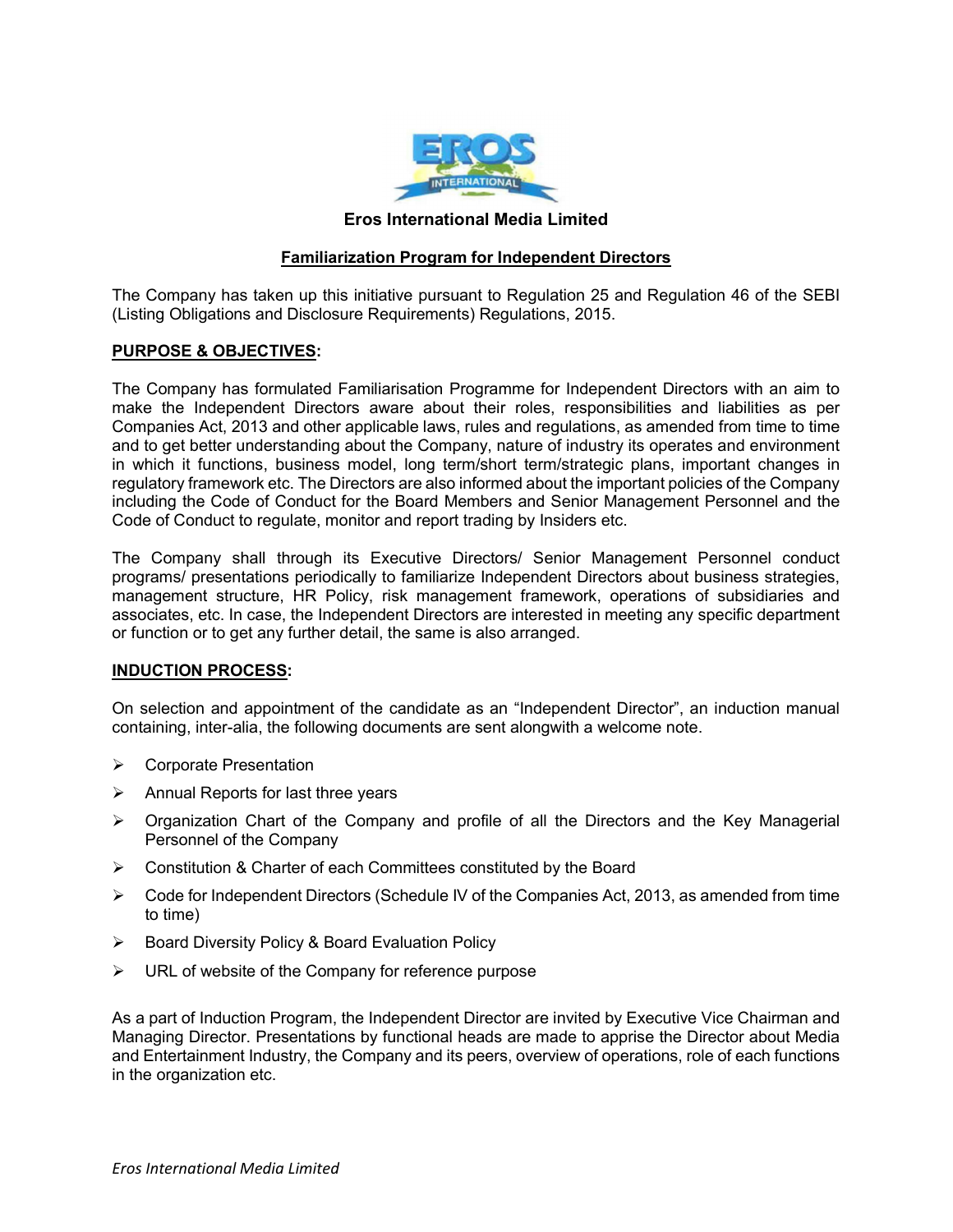

# Eros International Media Limited

# Familiarization Program for Independent Directors

The Company has taken up this initiative pursuant to Regulation 25 and Regulation 46 of the SEBI (Listing Obligations and Disclosure Requirements) Regulations, 2015.

# PURPOSE & OBJECTIVES:

The Company has formulated Familiarisation Programme for Independent Directors with an aim to make the Independent Directors aware about their roles, responsibilities and liabilities as per Companies Act, 2013 and other applicable laws, rules and regulations, as amended from time to time and to get better understanding about the Company, nature of industry its operates and environment in which it functions, business model, long term/short term/strategic plans, important changes in regulatory framework etc. The Directors are also informed about the important policies of the Company including the Code of Conduct for the Board Members and Senior Management Personnel and the Code of Conduct to regulate, monitor and report trading by Insiders etc.

The Company shall through its Executive Directors/ Senior Management Personnel conduct programs/ presentations periodically to familiarize Independent Directors about business strategies, management structure, HR Policy, risk management framework, operations of subsidiaries and associates, etc. In case, the Independent Directors are interested in meeting any specific department or function or to get any further detail, the same is also arranged.

### INDUCTION PROCESS:

On selection and appointment of the candidate as an "Independent Director", an induction manual containing, inter-alia, the following documents are sent alongwith a welcome note.

- **▶ Corporate Presentation**
- $\triangleright$  Annual Reports for last three years
- Organization Chart of the Company and profile of all the Directors and the Key Managerial Personnel of the Company
- **►** Constitution & Charter of each Committees constituted by the Board
- $\triangleright$  Code for Independent Directors (Schedule IV of the Companies Act, 2013, as amended from time to time)
- $\triangleright$  Board Diversity Policy & Board Evaluation Policy
- $\triangleright$  URL of website of the Company for reference purpose

As a part of Induction Program, the Independent Director are invited by Executive Vice Chairman and Managing Director. Presentations by functional heads are made to apprise the Director about Media and Entertainment Industry, the Company and its peers, overview of operations, role of each functions in the organization etc.